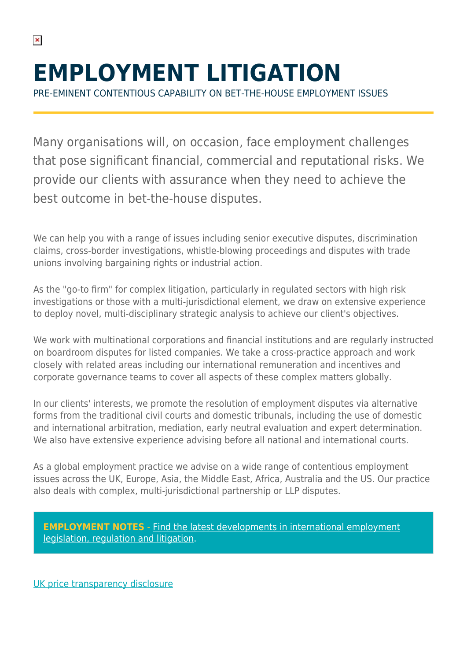# **EMPLOYMENT LITIGATION**

PRE-EMINENT CONTENTIOUS CAPABILITY ON BET-THE-HOUSE EMPLOYMENT ISSUES

Many organisations will, on occasion, face employment challenges that pose significant financial, commercial and reputational risks. We provide our clients with assurance when they need to achieve the best outcome in bet-the-house disputes.

We can help you with a range of issues including senior executive disputes, discrimination claims, cross-border investigations, whistle-blowing proceedings and disputes with trade unions involving bargaining rights or industrial action.

As the "go-to firm" for complex litigation, particularly in regulated sectors with high risk investigations or those with a multi-jurisdictional element, we draw on extensive experience to deploy novel, multi-disciplinary strategic analysis to achieve our client's objectives.

We work with multinational corporations and financial institutions and are regularly instructed on boardroom disputes for listed companies. We take a cross-practice approach and work closely with related areas including our international remuneration and incentives and corporate governance teams to cover all aspects of these complex matters globally.

In our clients' interests, we promote the resolution of employment disputes via alternative forms from the traditional civil courts and domestic tribunals, including the use of domestic and international arbitration, mediation, early neutral evaluation and expert determination. We also have extensive experience advising before all national and international courts.

As a global employment practice we advise on a wide range of contentious employment issues across the UK, Europe, Asia, the Middle East, Africa, Australia and the US. Our practice also deals with complex, multi-jurisdictional partnership or LLP disputes.

**[EMPLOYMENT NOTES](https://hsfnotes.com/employment/)** [- Find the latest developments in international employment](https://hsfnotes.com/employment/) [legislation, regulation and litigation.](https://hsfnotes.com/employment/)

[UK price transparency disclosure](https://www.herbertsmithfreehills.com/file/52806/download?token=-UMquK4k)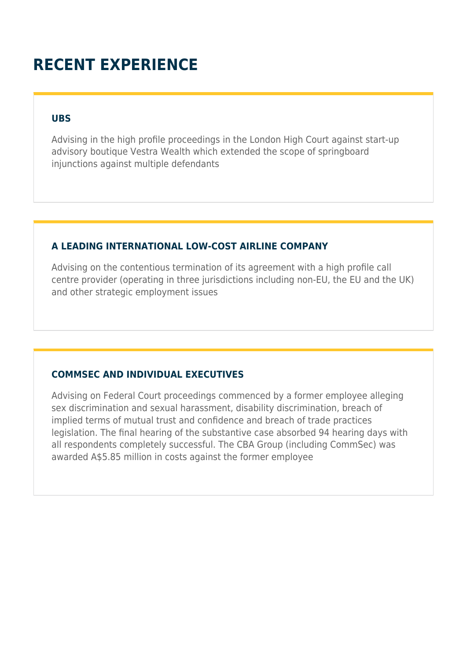## **RECENT EXPERIENCE**

#### **UBS**

Advising in the high profile proceedings in the London High Court against start-up advisory boutique Vestra Wealth which extended the scope of springboard injunctions against multiple defendants

#### **A LEADING INTERNATIONAL LOW-COST AIRLINE COMPANY**

Advising on the contentious termination of its agreement with a high profile call centre provider (operating in three jurisdictions including non-EU, the EU and the UK) and other strategic employment issues

#### **COMMSEC AND INDIVIDUAL EXECUTIVES**

Advising on Federal Court proceedings commenced by a former employee alleging sex discrimination and sexual harassment, disability discrimination, breach of implied terms of mutual trust and confidence and breach of trade practices legislation. The final hearing of the substantive case absorbed 94 hearing days with all respondents completely successful. The CBA Group (including CommSec) was awarded A\$5.85 million in costs against the former employee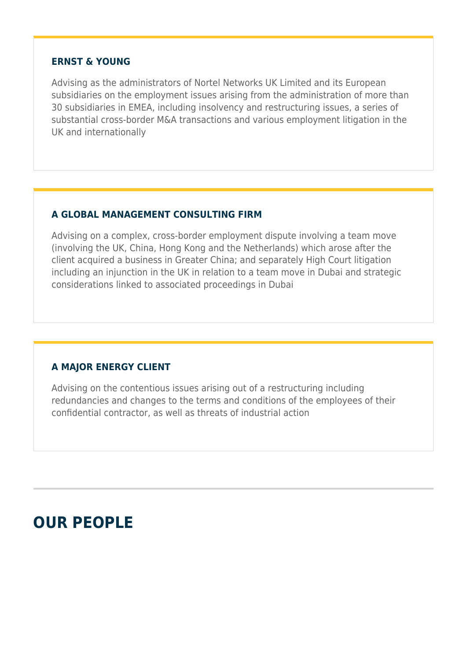#### **ERNST & YOUNG**

Advising as the administrators of Nortel Networks UK Limited and its European subsidiaries on the employment issues arising from the administration of more than 30 subsidiaries in EMEA, including insolvency and restructuring issues, a series of substantial cross-border M&A transactions and various employment litigation in the UK and internationally

#### **A GLOBAL MANAGEMENT CONSULTING FIRM**

Advising on a complex, cross-border employment dispute involving a team move (involving the UK, China, Hong Kong and the Netherlands) which arose after the client acquired a business in Greater China; and separately High Court litigation including an injunction in the UK in relation to a team move in Dubai and strategic considerations linked to associated proceedings in Dubai

#### **A MAJOR ENERGY CLIENT**

Advising on the contentious issues arising out of a restructuring including redundancies and changes to the terms and conditions of the employees of their confidential contractor, as well as threats of industrial action

### **OUR PEOPLE**